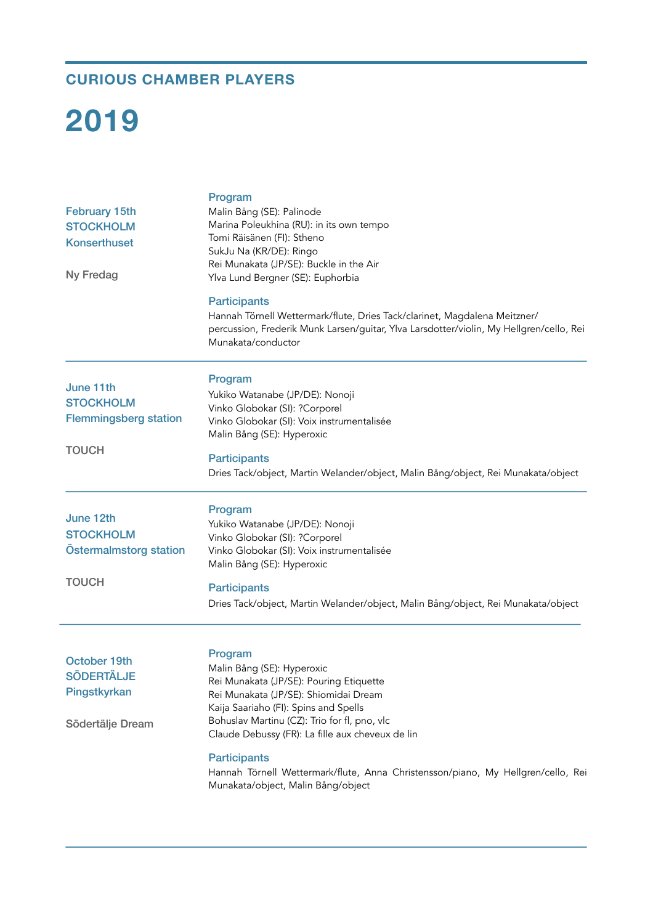## **CURIOUS CHAMBER PLAYERS**

# **2019**

| <b>February 15th</b><br><b>STOCKHOLM</b><br><b>Konserthuset</b><br><b>Ny Fredag</b> | Program<br>Malin Bång (SE): Palinode<br>Marina Poleukhina (RU): in its own tempo<br>Tomi Räisänen (FI): Stheno<br>SukJu Na (KR/DE): Ringo<br>Rei Munakata (JP/SE): Buckle in the Air<br>Ylva Lund Bergner (SE): Euphorbia<br><b>Participants</b><br>Hannah Törnell Wettermark/flute, Dries Tack/clarinet, Magdalena Meitzner/<br>percussion, Frederik Munk Larsen/guitar, Ylva Larsdotter/violin, My Hellgren/cello, Rei<br>Munakata/conductor |
|-------------------------------------------------------------------------------------|------------------------------------------------------------------------------------------------------------------------------------------------------------------------------------------------------------------------------------------------------------------------------------------------------------------------------------------------------------------------------------------------------------------------------------------------|
| June 11th<br><b>STOCKHOLM</b><br><b>Flemmingsberg station</b><br><b>TOUCH</b>       | Program<br>Yukiko Watanabe (JP/DE): Nonoji<br>Vinko Globokar (SI): ?Corporel<br>Vinko Globokar (SI): Voix instrumentalisée<br>Malin Bång (SE): Hyperoxic<br><b>Participants</b><br>Dries Tack/object, Martin Welander/object, Malin Bång/object, Rei Munakata/object                                                                                                                                                                           |
| June 12th<br><b>STOCKHOLM</b><br>Östermalmstorg station<br><b>TOUCH</b>             | Program<br>Yukiko Watanabe (JP/DE): Nonoji<br>Vinko Globokar (SI): ?Corporel<br>Vinko Globokar (SI): Voix instrumentalisée<br>Malin Bång (SE): Hyperoxic<br><b>Participants</b><br>Dries Tack/object, Martin Welander/object, Malin Bång/object, Rei Munakata/object                                                                                                                                                                           |
| October 19th<br><b>SÖDERTÄLJE</b><br>Pingstkyrkan<br>Södertälje Dream               | Program<br>Malin Bång (SE): Hyperoxic<br>Rei Munakata (JP/SE): Pouring Etiquette<br>Rei Munakata (JP/SE): Shiomidai Dream<br>Kaija Saariaho (FI): Spins and Spells<br>Bohuslav Martinu (CZ): Trio for fl, pno, vlc<br>Claude Debussy (FR): La fille aux cheveux de lin<br><b>Participants</b><br>Hannah Törnell Wettermark/flute, Anna Christensson/piano, My Hellgren/cello, Rei<br>Munakata/object, Malin Bång/object                        |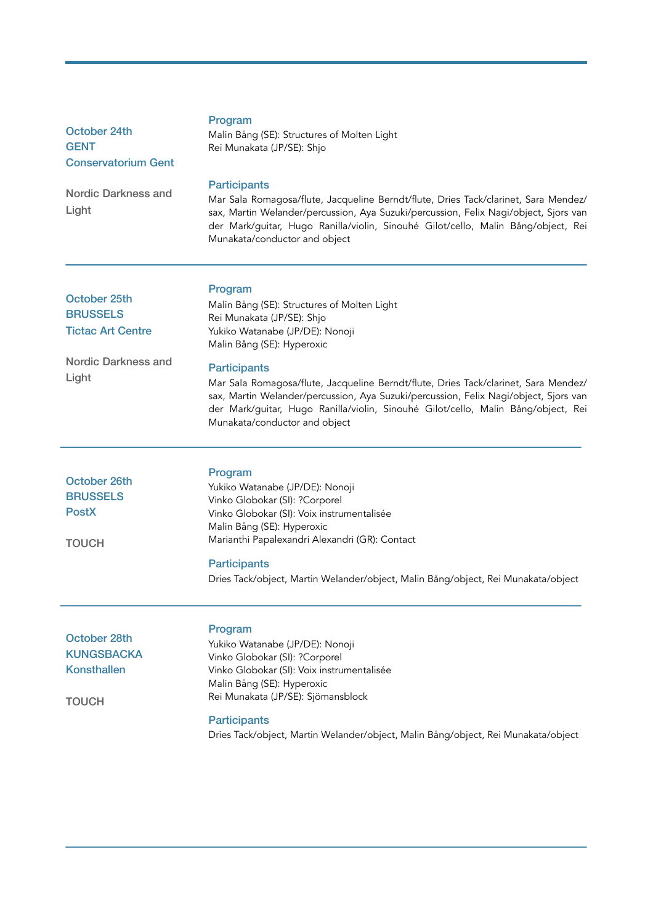| October 24th<br><b>GENT</b><br><b>Conservatorium Gent</b>                                   | Program<br>Malin Bång (SE): Structures of Molten Light<br>Rei Munakata (JP/SE): Shjo                                                                                                                                                                                                                                                                                                                                                                                              |
|---------------------------------------------------------------------------------------------|-----------------------------------------------------------------------------------------------------------------------------------------------------------------------------------------------------------------------------------------------------------------------------------------------------------------------------------------------------------------------------------------------------------------------------------------------------------------------------------|
| Nordic Darkness and<br>Light                                                                | <b>Participants</b><br>Mar Sala Romagosa/flute, Jacqueline Berndt/flute, Dries Tack/clarinet, Sara Mendez/<br>sax, Martin Welander/percussion, Aya Suzuki/percussion, Felix Nagi/object, Sjors van<br>der Mark/guitar, Hugo Ranilla/violin, Sinouhé Gilot/cello, Malin Bång/object, Rei<br>Munakata/conductor and object                                                                                                                                                          |
| October 25th<br><b>BRUSSELS</b><br><b>Tictac Art Centre</b><br>Nordic Darkness and<br>Light | Program<br>Malin Bång (SE): Structures of Molten Light<br>Rei Munakata (JP/SE): Shjo<br>Yukiko Watanabe (JP/DE): Nonoji<br>Malin Bång (SE): Hyperoxic<br><b>Participants</b><br>Mar Sala Romagosa/flute, Jacqueline Berndt/flute, Dries Tack/clarinet, Sara Mendez/<br>sax, Martin Welander/percussion, Aya Suzuki/percussion, Felix Nagi/object, Sjors van<br>der Mark/guitar, Hugo Ranilla/violin, Sinouhé Gilot/cello, Malin Bång/object, Rei<br>Munakata/conductor and object |
| October 26th<br><b>BRUSSELS</b><br><b>PostX</b><br><b>TOUCH</b>                             | Program<br>Yukiko Watanabe (JP/DE): Nonoji<br>Vinko Globokar (SI): ?Corporel<br>Vinko Globokar (SI): Voix instrumentalisée<br>Malin Bång (SE): Hyperoxic<br>Marianthi Papalexandri Alexandri (GR): Contact<br><b>Participants</b><br>Dries Tack/object, Martin Welander/object, Malin Bång/object, Rei Munakata/object                                                                                                                                                            |
| October 28th<br><b>KUNGSBACKA</b><br><b>Konsthallen</b><br><b>TOUCH</b>                     | Program<br>Yukiko Watanabe (JP/DE): Nonoji<br>Vinko Globokar (SI): ?Corporel<br>Vinko Globokar (SI): Voix instrumentalisée<br>Malin Bång (SE): Hyperoxic<br>Rei Munakata (JP/SE): Sjömansblock<br><b>Participants</b><br>Dries Tack/object, Martin Welander/object, Malin Bång/object, Rei Munakata/object                                                                                                                                                                        |